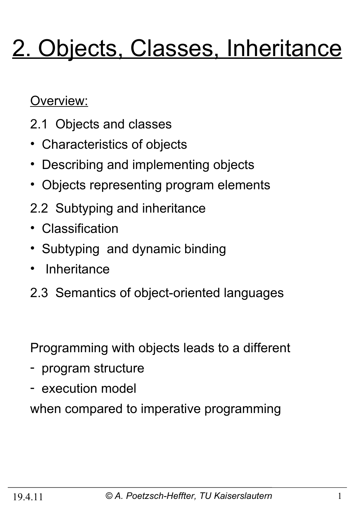# 2. Objects, Classes, Inheritance

Overview:

- 2.1 Objects and classes
- Characteristics of objects
- Describing and implementing objects
- Objects representing program elements
- 2.2 Subtyping and inheritance
- Classification
- Subtyping and dynamic binding
- **Inheritance**
- 2.3 Semantics of object-oriented languages

Programming with objects leads to a different

- program structure
- execution model

when compared to imperative programming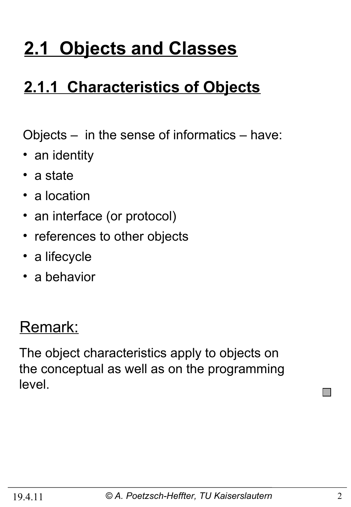# **2.1 Objects and Classes**

# **2.1.1 Characteristics of Objects**

Objects – in the sense of informatics – have:

- an identity
- a state
- a location
- an interface (or protocol)
- references to other objects
- a lifecycle
- a behavior

### Remark:

The object characteristics apply to objects on the conceptual as well as on the programming level.

**COL**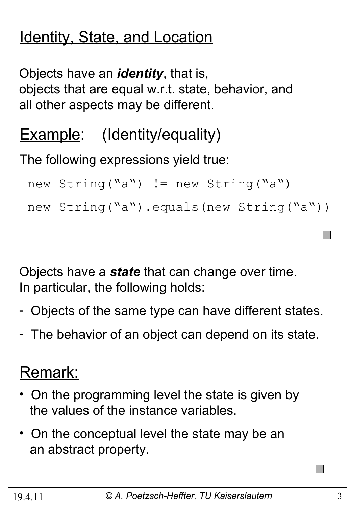# Identity, State, and Location

Objects have an *identity*, that is, objects that are equal w.r.t. state, behavior, and all other aspects may be different.

# **Example:** (Identity/equality)

The following expressions yield true:

```
new String("a") != new String("a")
new String("a").equals(new String("a"))
```
Objects have a *state* that can change over time. In particular, the following holds:

- Objects of the same type can have different states.
- The behavior of an object can depend on its state.

# Remark:

- On the programming level the state is given by the values of the instance variables.
- On the conceptual level the state may be an an abstract property.

 $\Box$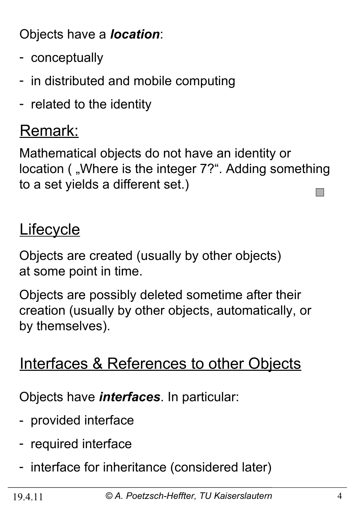Objects have a *location*:

- conceptually
- in distributed and mobile computing
- related to the identity

#### Remark:

Mathematical objects do not have an identity or location ( "Where is the integer 7?". Adding something to a set yields a different set.) **I** 

#### **Lifecycle**

Objects are created (usually by other objects) at some point in time.

Objects are possibly deleted sometime after their creation (usually by other objects, automatically, or by themselves).

#### Interfaces & References to other Objects

Objects have *interfaces*. In particular:

- provided interface
- required interface
- interface for inheritance (considered later)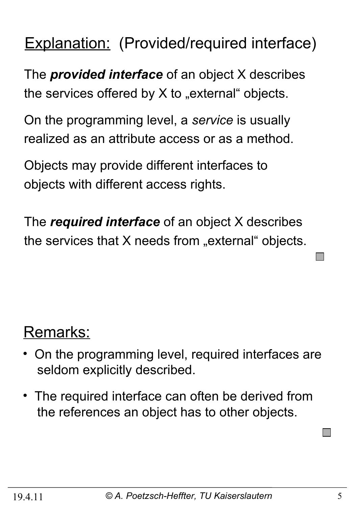### Explanation: (Provided/required interface)

The *provided interface* of an object X describes the services offered by  $X$  to "external" objects.

On the programming level, a *service* is usually realized as an attribute access or as a method.

Objects may provide different interfaces to objects with different access rights.

The *required interface* of an object X describes the services that  $X$  needs from "external" objects.

# Remarks:

- On the programming level, required interfaces are seldom explicitly described.
- The required interface can often be derived from the references an object has to other objects.

**I**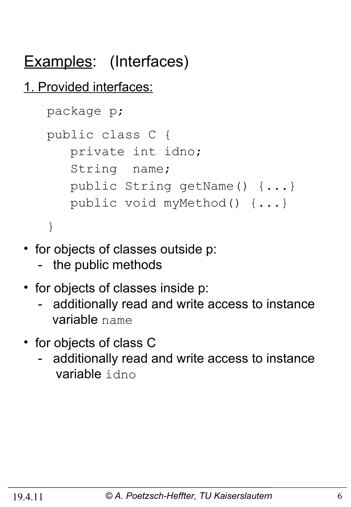# Examples: (Interfaces)

#### 1. Provided interfaces:

```
 package p;
 public class C {
    private int idno;
    String name;
    public String getName() {...}
    public void myMethod() {...}
 }
```
- for objects of classes outside p:
	- the public methods
- for objects of classes inside p:
	- additionally read and write access to instance variable name
- for objects of class C
	- additionally read and write access to instance variable idno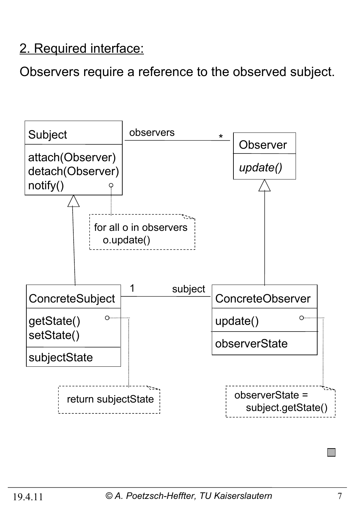#### 2. Required interface:

Observers require a reference to the observed subject.

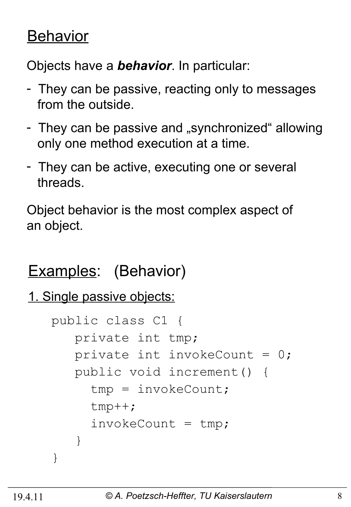#### **Behavior**

Objects have a *behavior*. In particular:

- They can be passive, reacting only to messages from the outside.
- They can be passive and "synchronized" allowing only one method execution at a time.
- They can be active, executing one or several threads.

Object behavior is the most complex aspect of an object.

# Examples: (Behavior)

```
1. Single passive objects:
```

```
 public class C1 {
       private int tmp;
      private int invokeCount = 0;
       public void increment() {
         tmp = invokeCount;
         tmp++;
        invokeCount = tmp; }
    }
```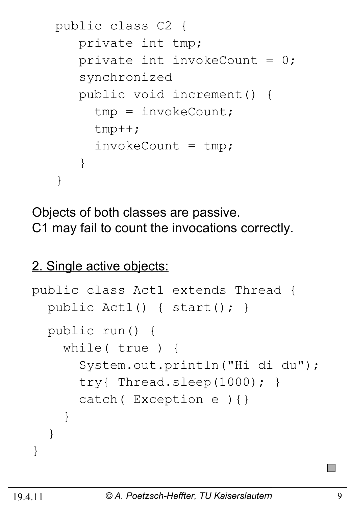```
 public class C2 {
       private int tmp;
      private int invokeCount = 0;
       synchronized 
       public void increment() {
         tmp = invokeCount;
         tmp++;
        invokeCount = tmp; }
    }
```
Objects of both classes are passive. C1 may fail to count the invocations correctly.

#### 2. Single active objects:

```
public class Act1 extends Thread {
   public Act1() { start(); }
   public run() {
     while( true ) {
       System.out.println("Hi di du");
       try{ Thread.sleep(1000); }
       catch( Exception e ){}
     }
   }
}
```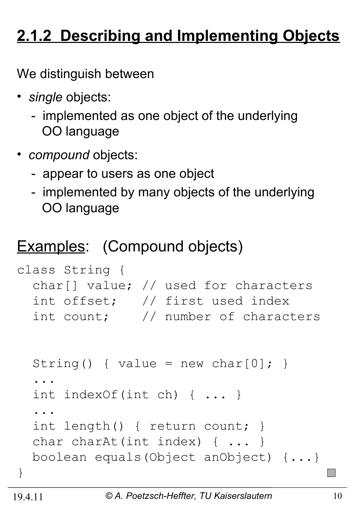# **2.1.2 Describing and Implementing Objects**

We distinguish between

- *single* objects:
	- implemented as one object of the underlying OO language
- *compound* objects:
	- appear to users as one object
	- implemented by many objects of the underlying OO language

## Examples: (Compound objects)

```
class String {
   char[] value; // used for characters 
   int offset; // first used index 
   int count; // number of characters 
  String() { value = new char[0]; }
   ...
   int indexOf(int ch) { ... }
 ... 
   int length() { return count; }
  char charAt(int index) { ... }
  boolean equals(Object anObject) {...}
}
```
 $\mathbb{R}^n$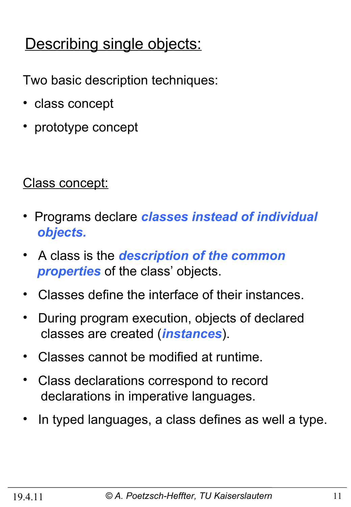# Describing single objects:

Two basic description techniques:

- class concept
- prototype concept

#### Class concept:

- Programs declare *classes instead of individual objects.*
- A class is the *description of the common properties* of the class' objects.
- Classes define the interface of their instances.
- During program execution, objects of declared classes are created (*instances*).
- Classes cannot be modified at runtime.
- Class declarations correspond to record declarations in imperative languages.
- In typed languages, a class defines as well a type.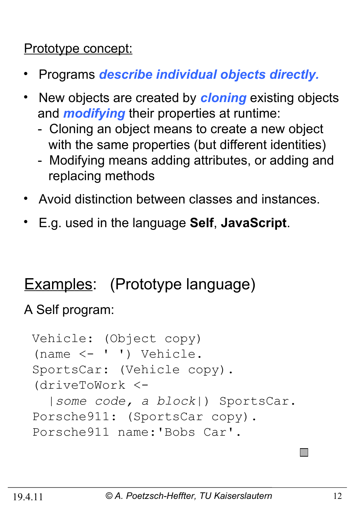#### Prototype concept:

- Programs *describe individual objects directly.*
- •New objects are created by *cloning* existing objects and *modifying* their properties at runtime:
	- Cloning an object means to create a new object with the same properties (but different identities)
	- Modifying means adding attributes, or adding and replacing methods
- Avoid distinction between classes and instances.
- E.g. used in the language **Self**, **JavaScript**.

### Examples: (Prototype language)

A Self program:

```
Vehicle: (Object copy)
(name <- ' ') Vehicle.
SportsCar: (Vehicle copy).
(driveToWork <- 
   |some code, a block|) SportsCar.
Porsche911: (SportsCar copy).
Porsche911 name:'Bobs Car'.
```
 $\Box$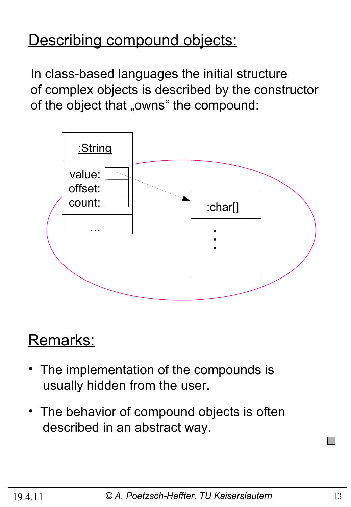#### Describing compound objects:

In class-based languages the initial structure of complex objects is described by the constructor of the object that "owns" the compound:



### Remarks:

- The implementation of the compounds is usually hidden from the user.
- The behavior of compound objects is often described in an abstract way.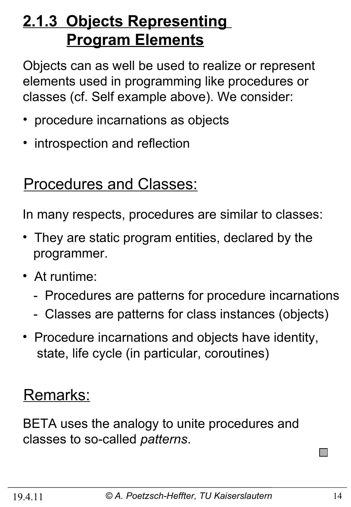# **2.1.3 Objects Representing Program Elements**

Objects can as well be used to realize or represent elements used in programming like procedures or classes (cf. Self example above). We consider:

- procedure incarnations as objects
- introspection and reflection

#### Procedures and Classes:

In many respects, procedures are similar to classes:

- They are static program entities, declared by the programmer.
- At runtime:
	- Procedures are patterns for procedure incarnations
	- Classes are patterns for class instances (objects)
- Procedure incarnations and objects have identity, state, life cycle (in particular, coroutines)

### Remarks:

BETA uses the analogy to unite procedures and classes to so-called *patterns*.

 $\Box$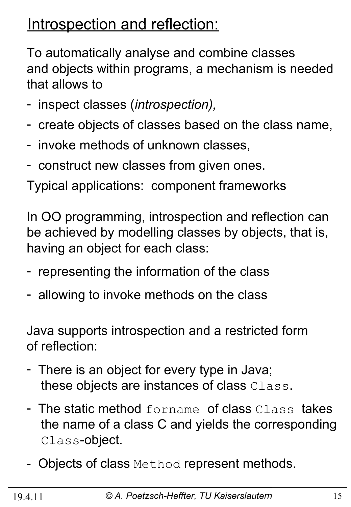### Introspection and reflection:

To automatically analyse and combine classes and objects within programs, a mechanism is needed that allows to

- inspect classes (*introspection),*
- create objects of classes based on the class name,
- invoke methods of unknown classes,
- construct new classes from given ones.

Typical applications: component frameworks

In OO programming, introspection and reflection can be achieved by modelling classes by objects, that is, having an object for each class:

- representing the information of the class
- allowing to invoke methods on the class

Java supports introspection and a restricted form of reflection:

- There is an object for every type in Java; these objects are instances of class Class.
- The static method forname of class Class takes the name of a class C and yields the corresponding Class-object.
- Objects of class Method represent methods.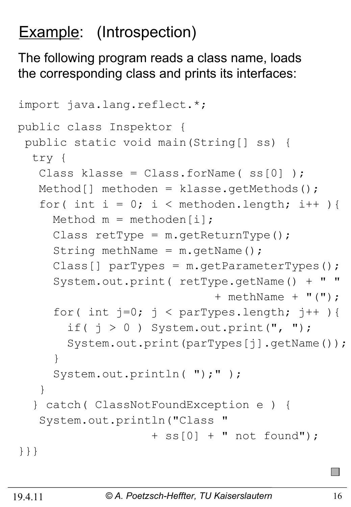# Example: (Introspection)

The following program reads a class name, loads the corresponding class and prints its interfaces:

```
import java.lang.reflect.*;
public class Inspektor {
 public static void main(String[] ss) {
   try {
   Class klasse = Class.forName(ss[0]);
   Method[] methoden = klasse.getMethods();
   for( int i = 0; i < methoden.length; i++ ){
     Method m = methoden[i];
     Class retType = m \cdot qetReturnType();
     String methName = m.getName();
     Class[] parTypes = m.getParameterTypes();
      System.out.print( retType.getName() + " "
                              + methName + "(");
     for( int j=0; j < parTypes.length; j++ ){
       if( j > 0 ) System.out.print(", ");
        System.out.print(parTypes[j].getName());
      }
     System.out.println( ");" );
    }
   } catch( ClassNotFoundException e ) {
   System.out.println("Class
                     + ss[0] + " not found");
}}}
```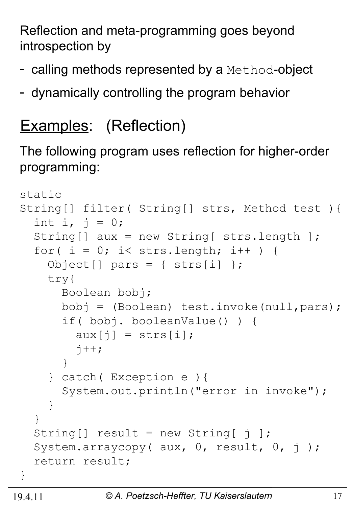Reflection and meta-programming goes beyond introspection by

- calling methods represented by a Method-object
- dynamically controlling the program behavior

# Examples: (Reflection)

The following program uses reflection for higher-order programming:

```
static 
String[] filter( String[] strs, Method test ){
  int i, j = 0;
   String[] aux = new String[ strs.length ];
  for( i = 0; i < strs.length; i++ ) {
    Object[] pars = { strs[i] };
     try{
       Boolean bobj;
       bobj = (Boolean) test.invoke(null,pars);
       if( bobj. booleanValue() ) {
         aux[j] = strs[i];\dot{7}++;
 }
     } catch( Exception e ){
       System.out.println("error in invoke");
     }
   }
  String [] result = new String \begin{bmatrix} 1 \end{bmatrix};
  System.arraycopy( aux, 0, result, 0, j);
   return result;
}
```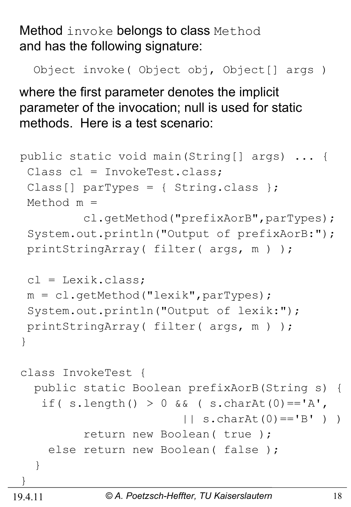Method invoke belongs to class Method and has the following signature:

Object invoke( Object obj, Object[] args )

where the first parameter denotes the implicit parameter of the invocation; null is used for static methods. Here is a test scenario:

```
public static void main(String[] args) ... {
 Class cl = InvokeTest.class;
 Class[] parTypes = { String.class };
 Method m = 
          cl.getMethod("prefixAorB",parTypes);
 System.out.println("Output of prefixAorB:");
 printStringArray( filter( args, m ) );
 cl = Lexik.class;m = c1.getMethod("lexik", parTypes);System.out.println("Output of lexik:");
 printStringArray( filter( args, m ) );
}
class InvokeTest {
   public static Boolean prefixAorB(String s) {
   if( s.length() > 0 \&&( s.charAt(0) =='A',
                        | \cdot | s.charAt(0) == 'B' ) )
          return new Boolean( true );
    else return new Boolean (false);
   }
}
```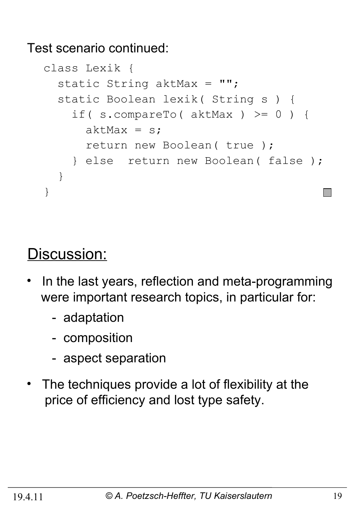Test scenario continued:

```
class Lexik {
  static String aktMax = "";
   static Boolean lexik( String s ) {
     if( s.compareTo( aktMax ) >= 0 ) {
      aktMax = s;
       return new Boolean( true );
     } else return new Boolean( false ); 
   }
}
```
#### Discussion:

- In the last years, reflection and meta-programming were important research topics, in particular for:
	- adaptation
	- composition
	- aspect separation
- The techniques provide a lot of flexibility at the price of efficiency and lost type safety.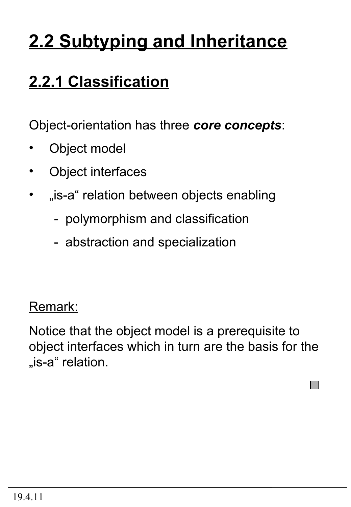# **2.2 Subtyping and Inheritance**

# **2.2.1 Classification**

Object-orientation has three *core concepts*:

- Object model
- Object interfaces
- "is-a" relation between objects enabling
	- polymorphism and classification
	- abstraction and specialization

#### Remark:

Notice that the object model is a prerequisite to object interfaces which in turn are the basis for the "is-a" relation.

 $\Box$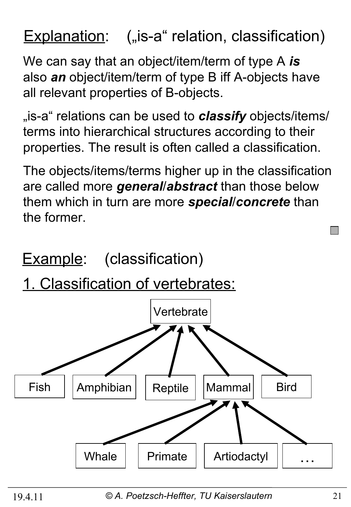## **Explanation:** ("is-a" relation, classification)

We can say that an object/item/term of type A *is* also *an* object/item/term of type B iff A-objects have all relevant properties of B-objects.

<sub>"is-a</sub>" relations can be used to **classify** objects/items/ terms into hierarchical structures according to their properties. The result is often called a classification.

The objects/items/terms higher up in the classification are called more *general*/*abstract* than those below them which in turn are more *special*/*concrete* than the former.

**Example:** (classification)

1. Classification of vertebrates:



19.4.11 *© A. Poetzsch-Heffter, TU Kaiserslautern* 21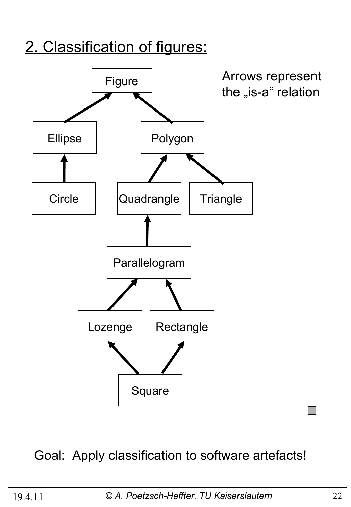#### 2. Classification of figures:



#### Goal: Apply classification to software artefacts!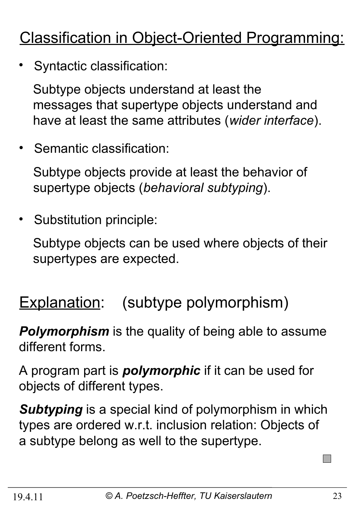# Classification in Object-Oriented Programming:

• Syntactic classification:

 Subtype objects understand at least the messages that supertype objects understand and have at least the same attributes (*wider interface*).

• Semantic classification:

 Subtype objects provide at least the behavior of supertype objects (*behavioral subtyping*).

Substitution principle:

 Subtype objects can be used where objects of their supertypes are expected.

Explanation: (subtype polymorphism)

*Polymorphism* is the quality of being able to assume different forms.

A program part is *polymorphic* if it can be used for objects of different types.

*Subtyping* is a special kind of polymorphism in which types are ordered w.r.t. inclusion relation: Objects of a subtype belong as well to the supertype.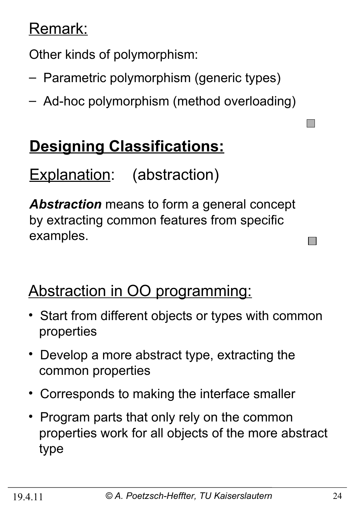#### Remark:

Other kinds of polymorphism:

- Parametric polymorphism (generic types)
- Ad-hoc polymorphism (method overloading)

# **Designing Classifications:**

Explanation: (abstraction)

*Abstraction* means to form a general concept by extracting common features from specific examples.

### Abstraction in OO programming:

- Start from different objects or types with common properties
- Develop a more abstract type, extracting the common properties
- Corresponds to making the interface smaller
- Program parts that only rely on the common properties work for all objects of the more abstract type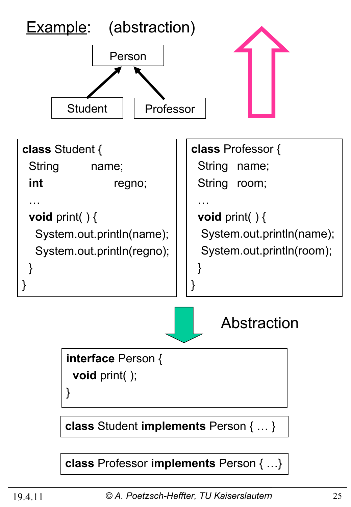

**class** Professor **implements** Person { …}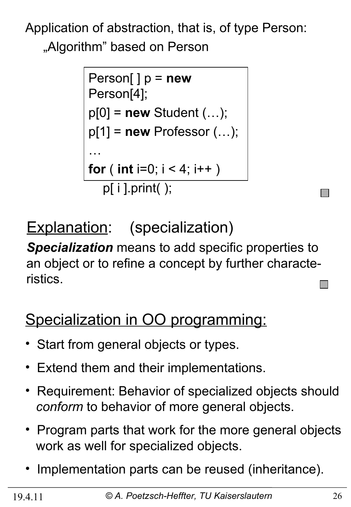Application of abstraction, that is, of type Person: "Algorithm" based on Person

```
Person[ ] p = new
Person[4];
p[0] = new Student (…);
p[1] = new Professor (…);
…
for ( int i=0; i < 4; i++ )
   p[ i ].print( );
```
Explanation: (specialization)

*Specialization* means to add specific properties to an object or to refine a concept by further characteristics.

# Specialization in OO programming:

- Start from general objects or types.
- Extend them and their implementations.
- Requirement: Behavior of specialized objects should *conform* to behavior of more general objects.
- Program parts that work for the more general objects work as well for specialized objects.
- Implementation parts can be reused (inheritance).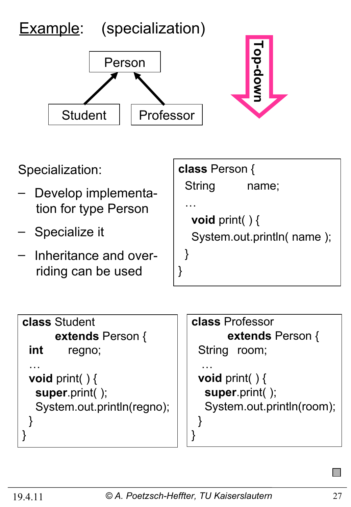

 **extends** Person { **int** regno; … **void** print( ) { **super**.print( ); System.out.println(regno); } }

 **extends** Person { String room; … **void** print( ) { **super**.print( );

```
 System.out.println(room);
```
}

}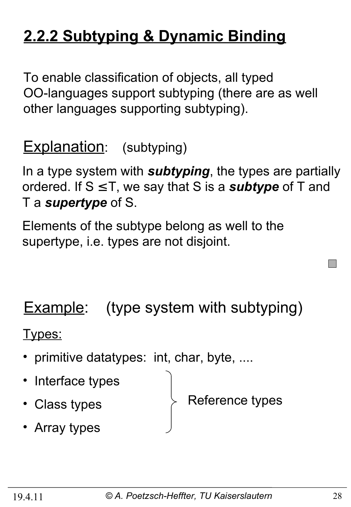# **2.2.2 Subtyping & Dynamic Binding**

To enable classification of objects, all typed OO-languages support subtyping (there are as well other languages supporting subtyping).

**Explanation:** (subtyping)

In a type system with *subtyping*, the types are partially ordered. If S ≤ T, we say that S is a *subtype* of T and T a *supertype* of S.

Elements of the subtype belong as well to the supertype, i.e. types are not disjoint.

**Example:** (type system with subtyping)

Types:

- primitive datatypes: int, char, byte, ....
- Interface types
- Class types

Reference types

• Array types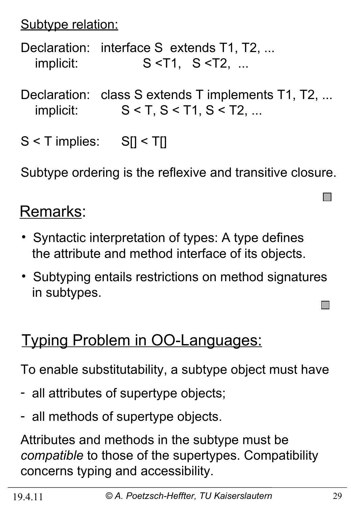Subtype relation:

Declaration: interface S extends T1, T2, ... implicit: S <T1, S <T2, ...

Declaration: class S extends T implements T1, T2, ... implicit:  $S < T, S < T1, S < T2, ...$ 

S < T implies: S[] < T[]

Subtype ordering is the reflexive and transitive closure.

### Remarks:

- Syntactic interpretation of types: A type defines the attribute and method interface of its objects.
- Subtyping entails restrictions on method signatures in subtypes.

### Typing Problem in OO-Languages:

To enable substitutability, a subtype object must have

- all attributes of supertype objects;
- all methods of supertype objects.

Attributes and methods in the subtype must be *compatible* to those of the supertypes. Compatibility concerns typing and accessibility.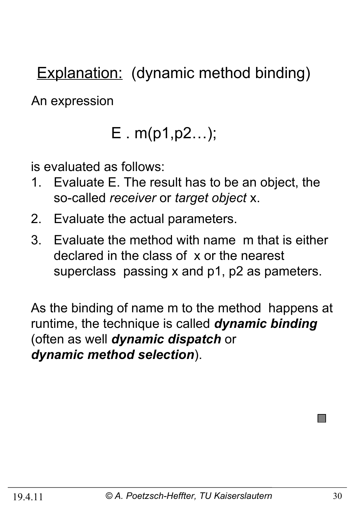Explanation: (dynamic method binding)

An expression

# E . m(p1,p2…);

is evaluated as follows:

- 1. Evaluate E. The result has to be an object, the so-called *receiver* or *target object* x.
- 2. Evaluate the actual parameters.
- 3. Evaluate the method with name m that is either declared in the class of x or the nearest superclass passing x and p1, p2 as pameters.

As the binding of name m to the method happens at runtime, the technique is called *dynamic binding*  (often as well *dynamic dispatch* or *dynamic method selection*).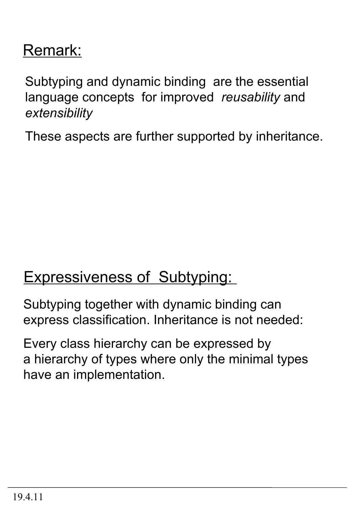### Remark:

Subtyping and dynamic binding are the essential language concepts for improved *reusability* and *extensibility* 

These aspects are further supported by inheritance.

#### **Expressiveness of Subtyping:**

Subtyping together with dynamic binding can express classification. Inheritance is not needed:

Every class hierarchy can be expressed by a hierarchy of types where only the minimal types have an implementation.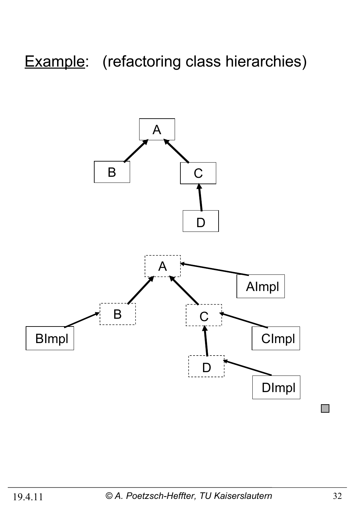# Example: (refactoring class hierarchies)

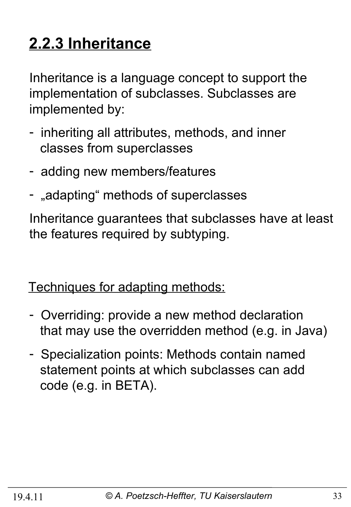# **2.2.3 Inheritance**

Inheritance is a language concept to support the implementation of subclasses. Subclasses are implemented by:

- inheriting all attributes, methods, and inner classes from superclasses
- adding new members/features
- "adapting" methods of superclasses

Inheritance guarantees that subclasses have at least the features required by subtyping.

Techniques for adapting methods:

- Overriding: provide a new method declaration that may use the overridden method (e.g. in Java)
- Specialization points: Methods contain named statement points at which subclasses can add code (e.g. in BETA).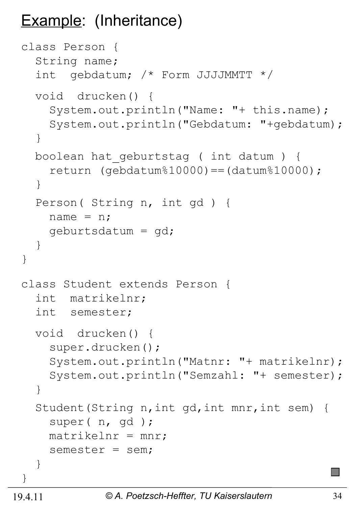## Example: (Inheritance)

```
class Person {
   String name;
   int gebdatum; /* Form JJJJMMTT */
   void drucken() {
     System.out.println("Name: "+ this.name);
     System.out.println("Gebdatum: "+gebdatum);
   }
   boolean hat_geburtstag ( int datum ) {
    return (qebdatum%10000) == (datum%10000); }
   Person( String n, int gd ) {
    name = n; geburtsdatum = gd;
   }
}
class Student extends Person {
   int matrikelnr;
   int semester;
   void drucken() {
     super.drucken();
     System.out.println("Matnr: "+ matrikelnr);
     System.out.println("Semzahl: "+ semester);
   }
   Student(String n,int gd,int mnr,int sem) {
     super( n, gd );
    matrix = mn;
     semester = sem;
   }
}
```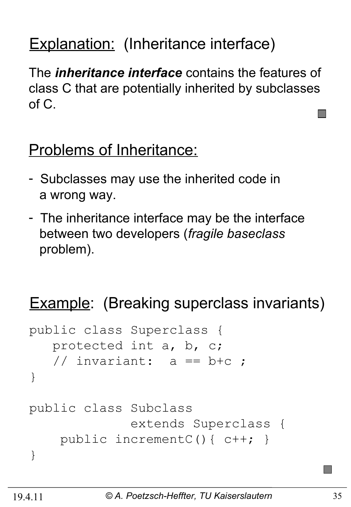# Explanation: (Inheritance interface)

The *inheritance interface* contains the features of class C that are potentially inherited by subclasses of C.

#### Problems of Inheritance:

- Subclasses may use the inherited code in a wrong way.
- The inheritance interface may be the interface between two developers (*fragile baseclass* problem).

# **Example:** (Breaking superclass invariants)

```
public class Superclass {
    protected int a, b, c;
   // invariant: a == b+c ;
}
public class Subclass 
               extends Superclass {
     public incrementC(){ c++; }
}
```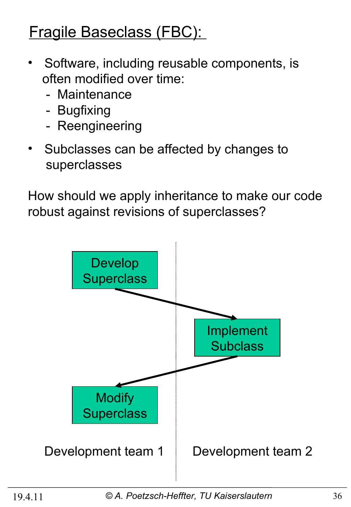## Fragile Baseclass (FBC):

- Software, including reusable components, is often modified over time:
	- Maintenance
	- Bugfixing
	- Reengineering
- Subclasses can be affected by changes to superclasses

How should we apply inheritance to make our code robust against revisions of superclasses?

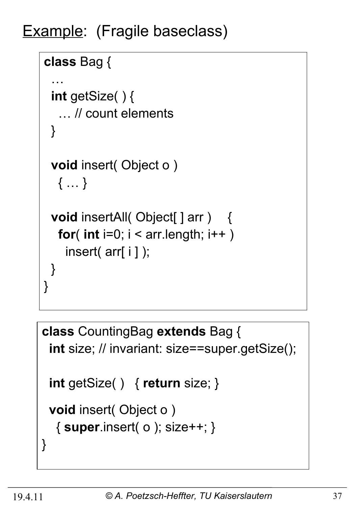Example: (Fragile baseclass)

```
class Bag {
 …
  int getSize( ) {
    … // count elements
  }
  void insert( Object o ) 
   { … }
 void insertAll( Object[ ] arr ) {
   for( int i=0; i < \arctan 1 ength; i++ )
    insert( arr[ i ] );
  }
}
```

```
class CountingBag extends Bag {
  int size; // invariant: size==super.getSize();
  int getSize( ) { return size; }
  void insert( Object o ) 
   { super.insert( o ); size++; }
}
```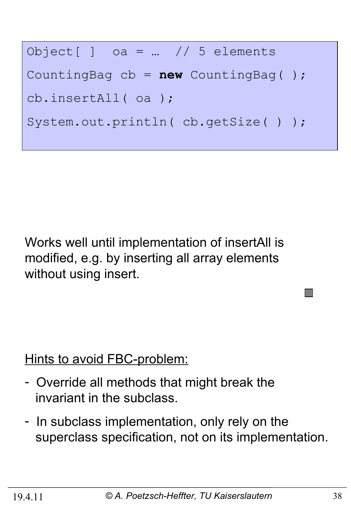

Works well until implementation of insertAll is modified, e.g. by inserting all array elements without using insert.

Hints to avoid FBC-problem:

- Override all methods that might break the invariant in the subclass.
- In subclass implementation, only rely on the superclass specification, not on its implementation.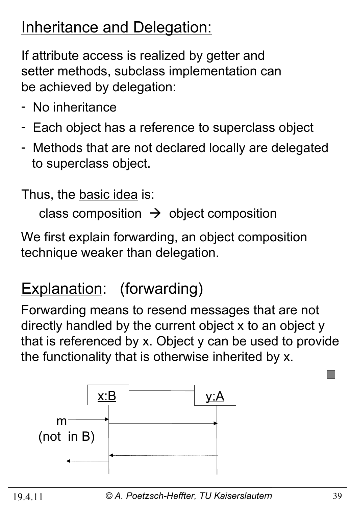#### **Inheritance and Delegation:**

If attribute access is realized by getter and setter methods, subclass implementation can be achieved by delegation:

- No inheritance
- Each object has a reference to superclass object
- Methods that are not declared locally are delegated to superclass object.

Thus, the basic idea is:

class composition  $\rightarrow$  object composition

We first explain forwarding, an object composition technique weaker than delegation.

# Explanation: (forwarding)

Forwarding means to resend messages that are not directly handled by the current object x to an object y that is referenced by x. Object y can be used to provide the functionality that is otherwise inherited by x.

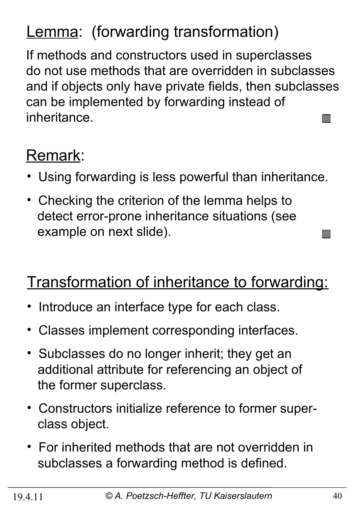# Lemma: (forwarding transformation)

If methods and constructors used in superclasses do not use methods that are overridden in subclasses and if objects only have private fields, then subclasses can be implemented by forwarding instead of inheritance.  $\mathcal{O}(\mathbb{R}^d)$ 

# Remark:

- Using forwarding is less powerful than inheritance.
- Checking the criterion of the lemma helps to detect error-prone inheritance situations (see example on next slide).

### Transformation of inheritance to forwarding:

- Introduce an interface type for each class.
- Classes implement corresponding interfaces.
- Subclasses do no longer inherit; they get an additional attribute for referencing an object of the former superclass.
- Constructors initialize reference to former super class object.
- For inherited methods that are not overridden in subclasses a forwarding method is defined.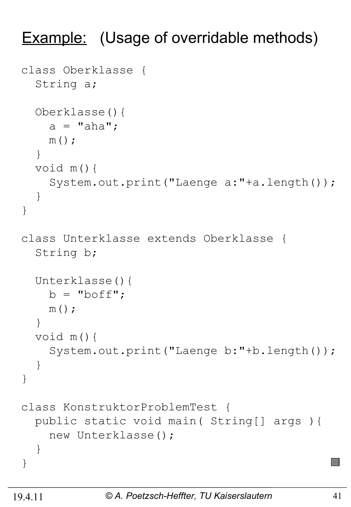#### **Example:** (Usage of overridable methods)

```
class Oberklasse {
   String a;
   Oberklasse(){
    a = "aha";m();
   }
   void m(){
     System.out.print("Laenge a:"+a.length());
   }
}
class Unterklasse extends Oberklasse {
   String b;
   Unterklasse(){
    b = "boff";m();
   }
   void m(){
     System.out.print("Laenge b:"+b.length());
   }
}
class KonstruktorProblemTest {
   public static void main( String[] args ){
     new Unterklasse();
   }
}
```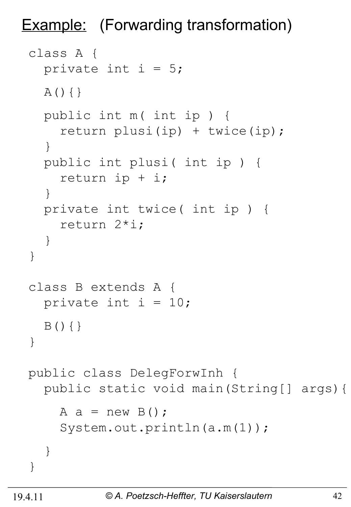Example: (Forwarding transformation)

```
class A {
  private int i = 5;
  A() { } public int m( int ip ) {
     return plusi(ip) + twice(ip);
   }
   public int plusi( int ip ) {
     return ip + i;
   }
   private int twice( int ip ) {
     return 2*i;
   }
}
class B extends A {
  private int i = 10;
  B() { }
}
public class DelegForwInh {
   public static void main(String[] args){
    A a = new B();
     System.out.println(a.m(1));
   }
}
```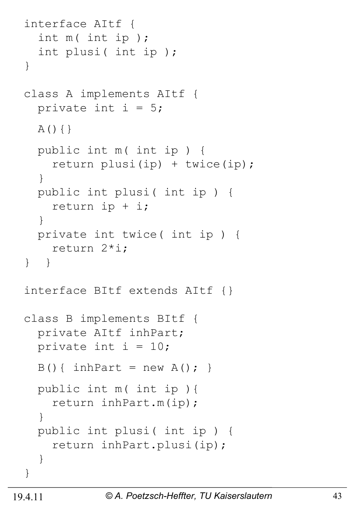```
interface AItf {
   int m( int ip ); 
   int plusi( int ip ); 
}
class A implements AItf {
  private int i = 5;
   A(){}
   public int m( int ip ) {
     return plusi(ip) + twice(ip);
   }
   public int plusi( int ip ) {
     return ip + i;
   }
   private int twice( int ip ) {
     return 2*i;
} }
interface BItf extends AItf {}
class B implements BItf {
   private AItf inhPart;
  private int i = 10;
  B() { inhPart = new A(); }
   public int m( int ip ){
     return inhPart.m(ip);
   } 
   public int plusi( int ip ) {
     return inhPart.plusi(ip);
   } 
}
```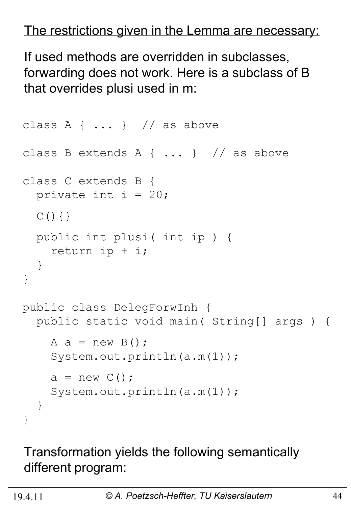#### The restrictions given in the Lemma are necessary:

If used methods are overridden in subclasses, forwarding does not work. Here is a subclass of B that overrides plusi used in m:

```
class A { \dots } // as above
class B extends A { ... } // as above
class C extends B {
  private int i = 20;
  C() { }
   public int plusi( int ip ) {
     return ip + i;
   }
}
public class DelegForwInh {
   public static void main( String[] args ) {
    A a = new B();
     System.out.println(a.m(1));
    a = new C();
    System.out.println(a.m(1));
   }
}
```
#### Transformation yields the following semantically different program: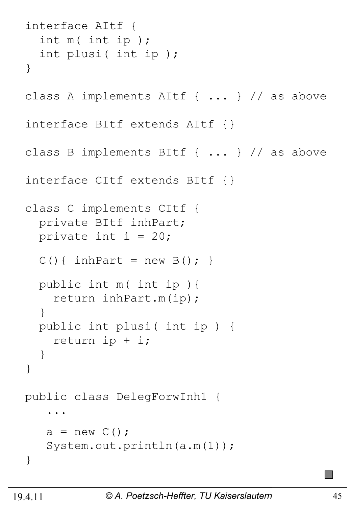```
interface AItf {
   int m( int ip ); 
   int plusi( int ip ); 
}
class A implements AItf { ... } // as above
interface BItf extends AItf {}
class B implements BItf { ... } // as above
interface CItf extends BItf {}
class C implements CItf {
   private BItf inhPart;
  private int i = 20;
  C() { inhPart = new B(); }
   public int m( int ip ){
     return inhPart.m(ip);
   }
   public int plusi( int ip ) {
     return ip + i;
   }
}
public class DelegForwInh1 { 
 ... 
   a = new C();
   System.out.println(a.m(1));
}
```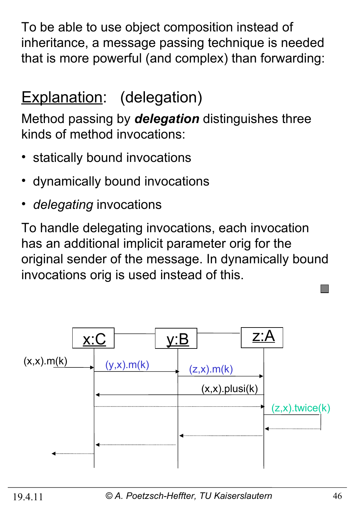To be able to use object composition instead of inheritance, a message passing technique is needed that is more powerful (and complex) than forwarding:

# Explanation: (delegation)

Method passing by *delegation* distinguishes three kinds of method invocations:

- statically bound invocations
- dynamically bound invocations
- *delegating* invocations

To handle delegating invocations, each invocation has an additional implicit parameter orig for the original sender of the message. In dynamically bound invocations orig is used instead of this.

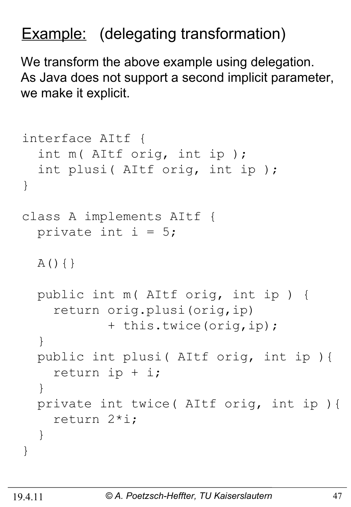# Example: (delegating transformation)

We transform the above example using delegation. As Java does not support a second implicit parameter, we make it explicit.

```
interface AItf {
   int m( AItf orig, int ip ); 
   int plusi( AItf orig, int ip ); 
}
class A implements AItf {
  private int i = 5;
  A() { }
   public int m( AItf orig, int ip ) {
     return orig.plusi(orig,ip) 
             + this.twice(orig,ip);
   }
   public int plusi( AItf orig, int ip ){
     return ip + i;
   }
   private int twice( AItf orig, int ip ){
     return 2*i;
   }
}
```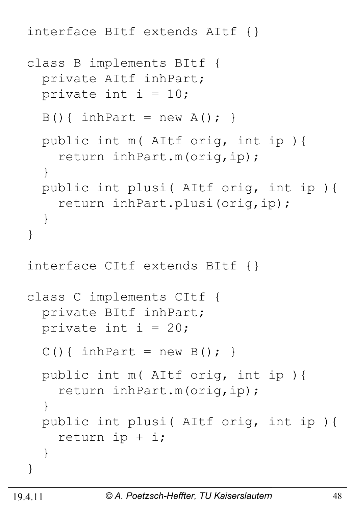interface BItf extends AItf {}

```
class B implements BItf {
   private AItf inhPart;
  private int i = 10;
  B() { inhPart = new A(); }
   public int m( AItf orig, int ip ){
     return inhPart.m(orig,ip);
   } 
   public int plusi( AItf orig, int ip ){
     return inhPart.plusi(orig,ip);
   } 
}
interface CItf extends BItf {}
class C implements CItf {
   private BItf inhPart;
 private int i = 20;
  C() { inhPart = new B() ; }
   public int m( AItf orig, int ip ){
     return inhPart.m(orig,ip);
   }
   public int plusi( AItf orig, int ip ){
     return ip + i;
   }
}
```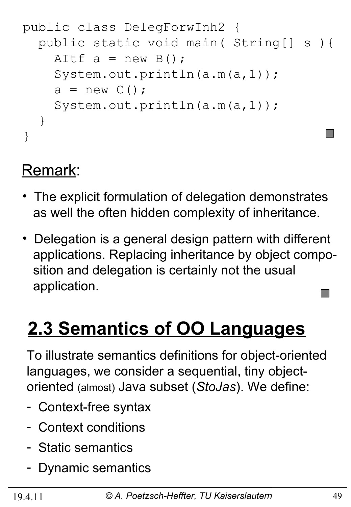```
public class DelegForwInh2 {
   public static void main( String[] s ){
    AItf a = new B();
     System.out.println(a.m(a,1));
    a = new C();
     System.out.println(a.m(a,1));
   }
}
```
#### Remark:

- The explicit formulation of delegation demonstrates as well the often hidden complexity of inheritance.
- Delegation is a general design pattern with different applications. Replacing inheritance by object compo sition and delegation is certainly not the usual application.  $\mathbb{R}^n$

# **2.3 Semantics of OO Languages**

To illustrate semantics definitions for object-oriented languages, we consider a sequential, tiny objectoriented (almost) Java subset (*StoJas*). We define:

- Context-free syntax
- Context conditions
- Static semantics
- Dynamic semantics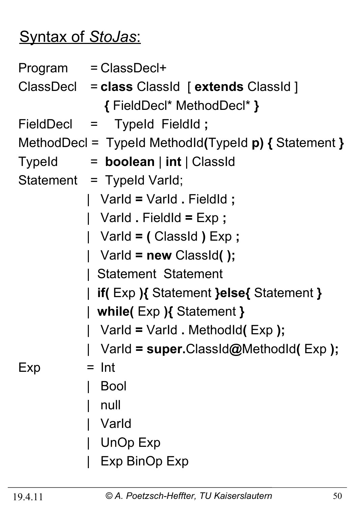# Syntax of *StoJas*:

|                                                         | Program = ClassDecl+                        |  |  |  |
|---------------------------------------------------------|---------------------------------------------|--|--|--|
|                                                         | ClassDecl = class ClassId [extends ClassId] |  |  |  |
|                                                         | { FieldDecl* MethodDecl* }                  |  |  |  |
|                                                         | FieldDecl = TypeId FieldId;                 |  |  |  |
| MethodDecl = TypeId MethodId(TypeId $p$ ) { Statement } |                                             |  |  |  |
|                                                         | Typeld = boolean   int   ClassId            |  |  |  |
|                                                         | Statement = Typeld Varld;                   |  |  |  |
|                                                         | Varld = Varld . Fieldld ;                   |  |  |  |
|                                                         | Varld . FieldId = $Exp$ ;                   |  |  |  |
|                                                         | Varld = (ClassId) Exp;                      |  |  |  |
|                                                         | Varld = $new$ ClassId();                    |  |  |  |
|                                                         | <b>Statement Statement</b>                  |  |  |  |
|                                                         | if(Exp){ Statement }else{ Statement }       |  |  |  |
| while( $Exp$ ){ Statement }                             |                                             |  |  |  |
|                                                         | Varld = Varld . Methodld(Exp);              |  |  |  |
|                                                         | Varld = super.ClassId@MethodId(Exp);        |  |  |  |
| Exp                                                     | Int                                         |  |  |  |
|                                                         | <b>Bool</b>                                 |  |  |  |
|                                                         | null                                        |  |  |  |
|                                                         | Varld                                       |  |  |  |
|                                                         | <b>UnOp Exp</b>                             |  |  |  |
|                                                         | Exp BinOp Exp                               |  |  |  |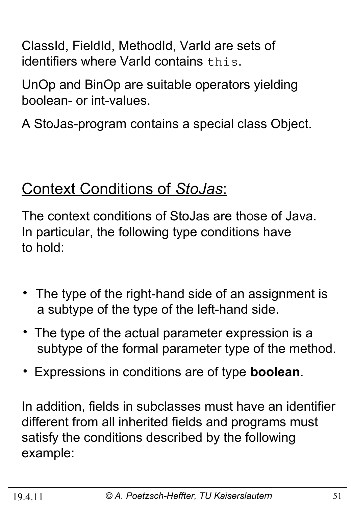ClassId, FieldId, MethodId, VarId are sets of identifiers where VarId contains this.

UnOp and BinOp are suitable operators yielding boolean- or int-values.

A StoJas-program contains a special class Object.

## Context Conditions of *StoJas*:

The context conditions of StoJas are those of Java. In particular, the following type conditions have to hold:

- The type of the right-hand side of an assignment is a subtype of the type of the left-hand side.
- The type of the actual parameter expression is a subtype of the formal parameter type of the method.
- Expressions in conditions are of type **boolean**.

In addition, fields in subclasses must have an identifier different from all inherited fields and programs must satisfy the conditions described by the following example: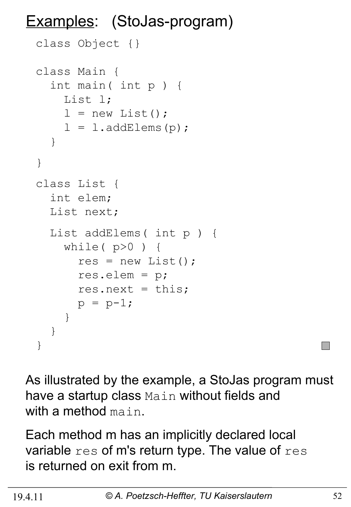# Examples: (StoJas-program)

```
class Object {}
class Main {
   int main( int p ) {
     List l;
    l = new List();
    l = l.addElements(p); }
}
class List {
   int elem;
   List next;
   List addElems( int p ) {
    while(p>0) {
      res = new List();
       res.elem = p;
      res.next = this;
      p = p-1; }
   }
}
```
As illustrated by the example, a StoJas program must have a startup class Main without fields and with a method main.

Each method m has an implicitly declared local variable  $res$  of m's return type. The value of  $res$ is returned on exit from m.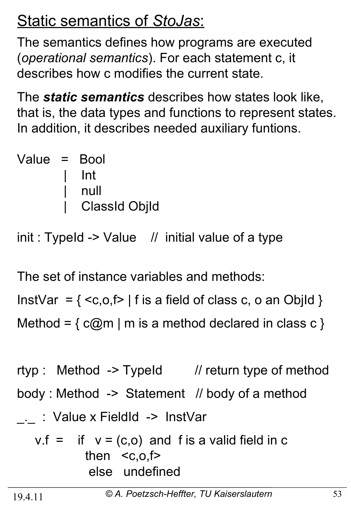# Static semantics of *StoJas*:

The semantics defines how programs are executed (*operational semantics*). For each statement c, it describes how c modifies the current state.

The *static semantics* describes how states look like, that is, the data types and functions to represent states. In addition, it describes needed auxiliary funtions.

| Value = Bool |                      |
|--------------|----------------------|
|              | l Int                |
|              | null                 |
|              | <b>ClassId ObjId</b> |

 $init: TypeId -> Value$  // initial value of a type

The set of instance variables and methods:

InstVar =  $\{  \mid f \text{ is a field of class } c, o \text{ an Obild } \}$ Method =  $\{ c@m \mid m \text{ is a method declared in class } c \}$ 

rtyp : Method -> TypeId // return type of method body : Method -> Statement // body of a method . : Value x FieldId -> InstVar  $v f = if y = (c, o)$  and f is a valid field in c

$$
v_{1} = u v - (c, o)
$$
 and 
$$
v_{2} = u v - (c, o)
$$
 then 
$$
\langle c, o, f \rangle
$$
else undefined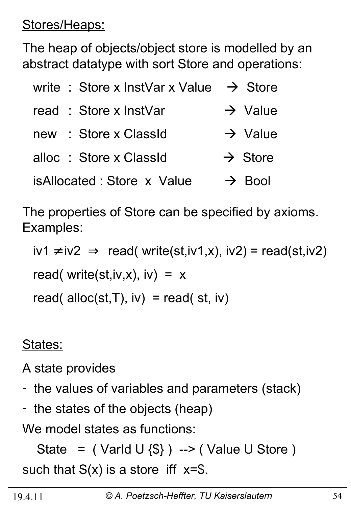Stores/Heaps:

The heap of objects/object store is modelled by an abstract datatype with sort Store and operations:

| write: Store x InstVar x Value | $\rightarrow$ Store |
|--------------------------------|---------------------|
| read: Store x InstVar          | $\rightarrow$ Value |
| : Store x ClassId<br>new       | $\rightarrow$ Value |
| alloc : Store x ClassId        | $\rightarrow$ Store |
| isAllocated: Store x Value     | $\rightarrow$ Bool  |

The properties of Store can be specified by axioms. Examples:

 $iv1 \neq iv2 \implies \text{read}(\text{write}(st,iv1,x), iv2) = \text{read}(st,iv2)$ read( write(st,iv,x), iv) =  $x$ read( alloc(st, T),  $iv$ ) = read( st,  $iv$ )

States:

A state provides

- the values of variables and parameters (stack)
- the states of the objects (heap)

We model states as functions:

State =  $($  Varld U  $\{\$\}$  ) -->  $($  Value U Store  $)$ such that  $S(x)$  is a store iff  $x=\$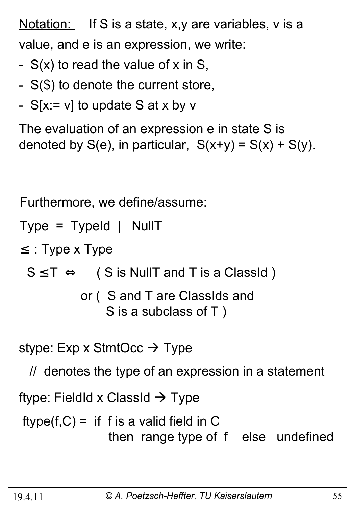Notation: If S is a state, x,y are variables, v is a value, and e is an expression, we write:

- $S(x)$  to read the value of x in S,
- S(\$) to denote the current store,
- $S[x := v]$  to update S at x by v

The evaluation of an expression e in state S is denoted by  $S(e)$ , in particular,  $S(x+y) = S(x) + S(y)$ .

Furthermore, we define/assume:

 $Type = TypeId$  | NullT

 $\leq$  : Type x Type

 $S \leq T \Leftrightarrow$  ( S is NullT and T is a ClassId )

 or ( S and T are ClassIds and S is a subclass of T )

stype: Exp x StmtOcc  $\rightarrow$  Type

// denotes the type of an expression in a statement

ftype: FieldId x ClassId  $\rightarrow$  Type

 $ftype(f, C) =$  if f is a valid field in C then range type of f else undefined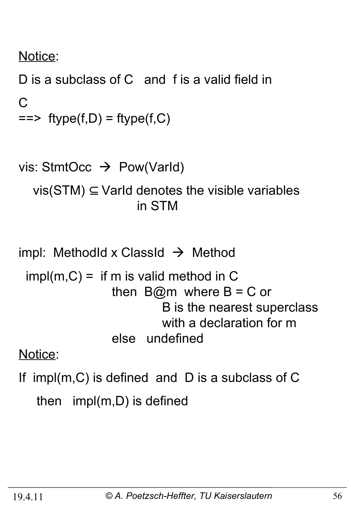Notice:

D is a subclass of C and f is a valid field in  $\mathcal{C}$  $==$  ftype(f,D) = ftype(f,C)

```
vis: StmtOcc \rightarrow Pow(VarId)
   vis(STM) \subseteq Varld denotes the visible variables
                         in STM
```
- impl: MethodId x ClassId  $\rightarrow$  Method
- $impl(m, C) =$  if m is valid method in C then  $B@m$  where  $B = C$  or B is the nearest superclass with a declaration for m else undefined

Notice:

If impl(m,C) is defined and D is a subclass of C then impl(m,D) is defined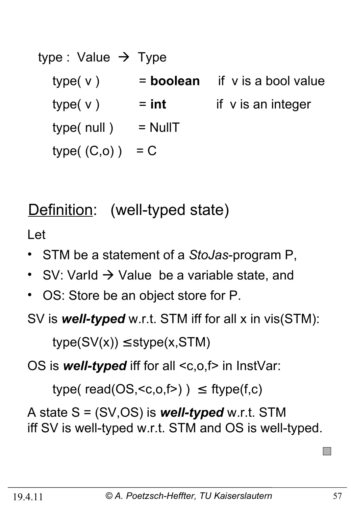| type : Value $\rightarrow$ Type |             |                         |
|---------------------------------|-------------|-------------------------|
| type(v)                         | $=$ boolean | if v is a bool value    |
| type(v)                         | $=$ int     | if $\vee$ is an integer |
| type( null)                     | $=$ NullT   |                         |
| type $(C, o)$ )                 | $= C$       |                         |

# Definition: (well-typed state)

Let

- STM be a statement of a *StoJas*-program P,
- SV: VarId  $\rightarrow$  Value be a variable state, and
- OS: Store be an object store for P.

SV is *well-typed* w.r.t. STM iff for all x in vis(STM):

 $type(SV(x)) \leq style(x,STM)$ 

OS is **well-typed** iff for all <c,o,f> in InstVar:

type( $read(OS, )$ )  $\leq$  ftype( $f,c$ )

A state S = (SV,OS) is *well-typed* w.r.t. STM iff SV is well-typed w.r.t. STM and OS is well-typed.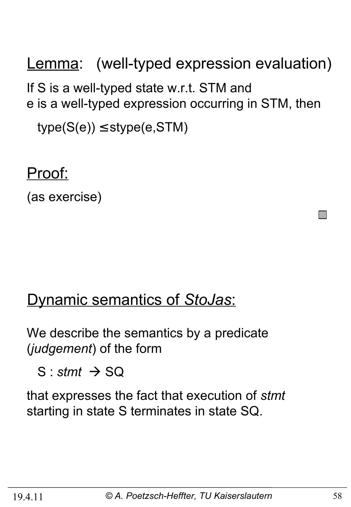Lemma: (well-typed expression evaluation) If S is a well-typed state w.r.t. STM and e is a well-typed expression occurring in STM, then  $type(S(e)) \leq stype(e,STM)$ 

Proof:

(as exercise)

#### Dynamic semantics of *StoJas*:

We describe the semantics by a predicate (*judgement*) of the form

 $S:$ *stmt*  $\rightarrow$  SQ

that expresses the fact that execution of *stmt* starting in state S terminates in state SQ.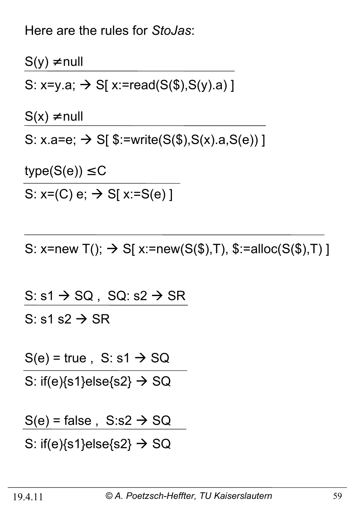Here are the rules for *StoJas*:

 $S(y) \neq null$ S: x=y.a;  $\rightarrow$  S[ x:=read(S(\$),S(y).a)]  $S(x) \neq null$ S:  $x.a = e$ ;  $\rightarrow$  S[ $\frac{\$:=\{w\}}{s}$  \sumit = (\fareb>, \sumidseq \sumidseq \sumidseq \sumidseq \sumidseq \sumidseq \sumidseq \sumidseq \sumidseq \sumidseq \sumidseq \sumidseq \sumidseq \sumidseq \sumidseq \sumidseq \sumidse  $type(S(e)) \leq C$ 

S:  $x=(C) e; \rightarrow S[x:=S(e)]$ 

S: x=new T();  $\rightarrow$  S[ x:=new(S(\$),T), \$:=alloc(S(\$),T) ]

S:  $s1 \rightarrow SQ$ , SQ:  $s2 \rightarrow SR$ S: s1 s2  $\rightarrow$  SR

 $S(e)$  = true, S: s1  $\rightarrow$  SQ

S: if(e) $\{s1\}$ else $\{s2\}$   $\rightarrow$  SQ

 $S(e)$  = false,  $S: s2 \rightarrow SQ$ 

S: if(e) $\{s1\}$ else $\{s2\} \rightarrow SQ$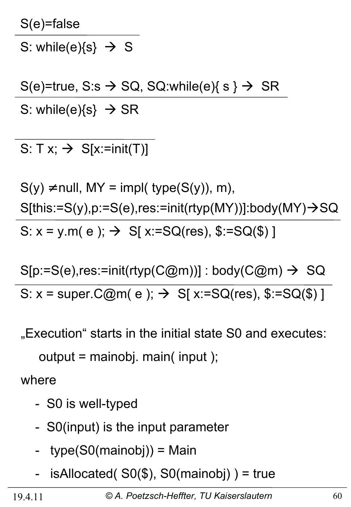S(e)=false

S: while(e) $\{s\} \rightarrow S$ 

 $S(e)$ =true, S:s  $\rightarrow$  SQ, SQ:while(e){ s }  $\rightarrow$  SR S: while(e) $\{s\} \rightarrow SR$ 

S:  $T x$ ;  $\rightarrow$  S[x:=init(T)]

 $S(y) \neq null$ , MY = impl( type( $S(y)$ ), m),  $S[this:=S(y), p:=S(e), res:=init(rtyp(MY))]:body(MY) \rightarrow SQ$ S:  $x = y.m(e)$ ;  $\rightarrow$  S[  $x:=SQ(res)$ ,  $\S := SQ(\$)$ ]

 $S[p:=S(e), res:=init(rtyp(C@m))]$ : body(C@m)  $\rightarrow$  SQ S:  $x = super.C@m(e); \rightarrow S[x:=SQ(res), $:=SQ($)]$ 

"Execution" starts in the initial state S0 and executes:

output = mainobj. main( input );

where

- S0 is well-typed
- S0(input) is the input parameter
- type(S0(mainobj)) = Main
- isAllocated( $SO($ \$), S0(mainobj)) = true